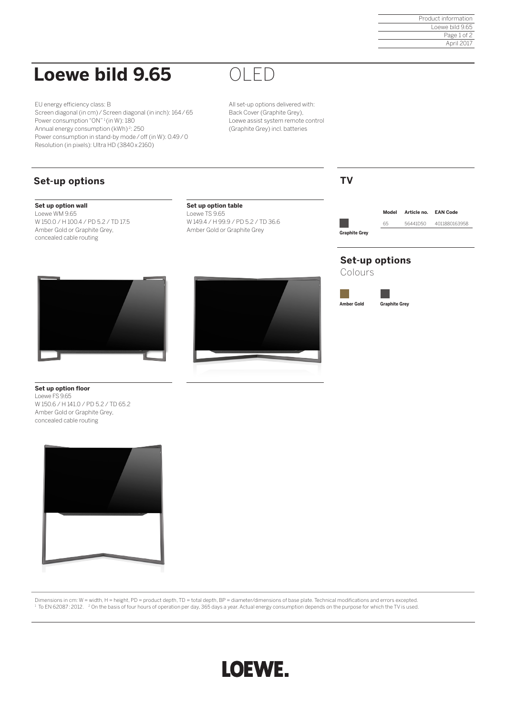Product information Loewe bild 9.65 Page 1 of 2 April 2017

# **Loewe bild 9.65**

EU energy efficiency class: B Screen diagonal (in cm) / Screen diagonal (in inch): 164 / 65 Power consumption "ON" <sup>1</sup> (in W): 180 Annual energy consumption (kWh) <sup>2</sup>: 250 Power consumption in stand-by mode / off (in W): 0.49 / 0 Resolution (in pixels): Ultra HD (3840 x 2160)

# OLED

All set-up options delivered with: Back Cover (Graphite Grey), Loewe assist system remote control (Graphite Grey) incl. batteries

# **Set-up options**

### **Set up option wall**

Loewe WM 9.65 W 150.0 / H 100.4 / PD 5.2 / TD 17.5 Amber Gold or Graphite Grey, concealed cable routing

#### **Set up option table** Loewe TS 9.65

W 149.4 / H 99.9 / PD 5.2 / TD 36.6 Amber Gold or Graphite Grey



**Graphite Grey**

**Model Article no. EAN Code** 65 56441D50 4011880163958

## **Set-up options**

**Amber Gold Graphite Grey**

Colours





**Set up option floor** Loewe FS 9.65 W 150.6 / H 141.0 / PD 5.2 / TD 65.2 Amber Gold or Graphite Grey, concealed cable routing



Dimensions in cm: W = width, H = height, PD = product depth, TD = total depth, BP = diameter/dimensions of base plate. Technical modifications and errors excepted.  $^{\rm 1}$  To EN 62087:2012.  $^{-2}$  On the basis of four hours of operation per day, 365 days a year. Actual energy consumption depends on the purpose for which the TV is used.

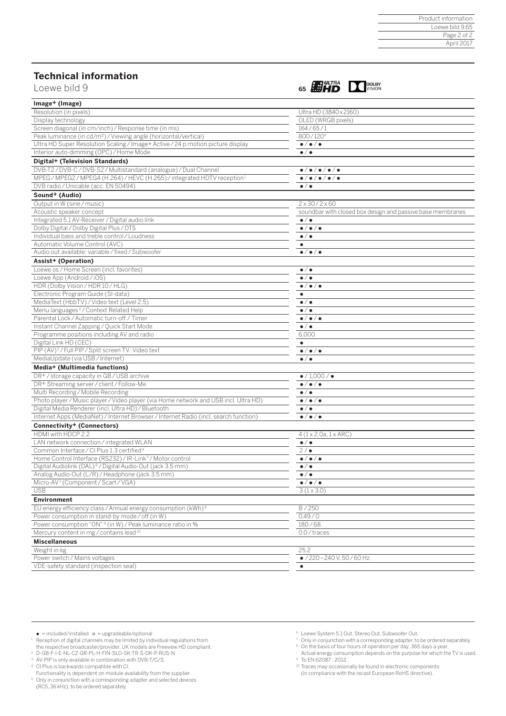### **Technical information**



| Image+ (Image)                                                                       |                                                            |
|--------------------------------------------------------------------------------------|------------------------------------------------------------|
| Resolution (in pixels)                                                               | Ultra HD (3840 x 2160)                                     |
| Display technology                                                                   | OLED (WRGB pixels)                                         |
| Screen diagonal (in cm/inch) / Response time (in ms)                                 | 164/65/1                                                   |
| Peak luminance (in cd/m <sup>2</sup> ) / Viewing angle (horizontal/vertical)         | 800/120°                                                   |
| Ultra HD Super Resolution Scaling / Image+ Active / 24 p motion picture display      | $\bullet/\bullet/\bullet$                                  |
| Interior auto-dimming (OPC) / Home Mode                                              | $\bullet/\bullet$                                          |
| Digital+ (Television Standards)                                                      |                                                            |
| DVB-T2/DVB-C/DVB-S2/Multistandard (analogue) / Dual Channel                          | $\bullet/\bullet/\bullet/\bullet/\bullet$                  |
| MPEG/MPEG2/MPEG4 (H.264)/HEVC (H.265)/integrated HDTV reception <sup>1</sup>         | $\bullet/\bullet/\bullet/\bullet/\bullet$                  |
| DVB radio / Unicable (acc. EN 50494)                                                 | $\bullet$ / $\bullet$                                      |
| Sound+ (Audio)                                                                       |                                                            |
| Output in W (sine/music)                                                             | $2 \times 30 / 2 \times 60$                                |
| Acoustic speaker concept                                                             | soundbar with closed box design and passive base membranes |
| Integrated 5.1 AV-Receiver / Digital audio link                                      | $\bullet$ / $\bullet$                                      |
| Dolby Digital / Dolby Digital Plus / DTS                                             | $\bullet/\bullet/\bullet$                                  |
| Individual bass and treble control / Loudness                                        | $\bullet/\bullet$                                          |
| Automatic Volume Control (AVC)                                                       | $\bullet$                                                  |
| Audio out available: variable / fixed / Subwoofer                                    | $\bullet/\bullet/\bullet$                                  |
| Assist+ (Operation)                                                                  |                                                            |
| Loewe os / Home Screen (incl. favorites)                                             | $\bullet$ / $\bullet$                                      |
| Loewe App (Android/iOS)                                                              | $\bullet/\bullet$                                          |
| HDR (Dolby Vision / HDR 10 / HLG)                                                    | $\bullet/\bullet/\bullet$                                  |
| Electronic Program Guide (SI-data)                                                   | $\bullet$                                                  |
| MediaText (HbbTV) / Video text (Level 2.5)                                           | $\bullet$ / $\bullet$                                      |
| Menu languages <sup>2</sup> /Context Related Help                                    | $\bullet$ / $\bullet$                                      |
| Parental Lock / Automatic turn-off / Timer                                           | $\bullet/\bullet/\bullet$                                  |
| Instant Channel Zapping / Quick Start Mode                                           | $\bullet$ / $\bullet$                                      |
| Programme positions including AV and radio                                           | 6,000                                                      |
| Digital Link HD (CEC)                                                                | $\bullet$                                                  |
| PIP (AV) <sup>3</sup> / Full PIP / Split screen TV: Video text                       | $\bullet/\bullet/\bullet$                                  |
| MediaUpdate (via USB / Internet)                                                     | $\bullet$ / $\bullet$                                      |
| Media+ (Multimedia functions)                                                        |                                                            |
| DR+/storage capacity in GB/USB archive                                               | $\bullet$ / 1,000 / $\bullet$                              |
| DR+ Streaming server / client / Follow-Me                                            | $\bullet/\bullet/\bullet$                                  |
| Multi Recording / Mobile Recording                                                   | $\bullet$ / $\bullet$                                      |
| Photo player / Music player / Video player (via Home network and USB incl. Ultra HD) | $\bullet/\bullet/\bullet$                                  |
| Digital Media Renderer (incl. Ultra HD) / Bluetooth                                  | $\bullet$ / $\bullet$                                      |
| Internet Apps (MediaNet) / Internet Browser / Internet Radio (incl. search function) | $\bullet/\bullet/\bullet$                                  |
| <b>Connectivity+ (Connectors)</b>                                                    |                                                            |
| HDMI with HDCP 2.2                                                                   | $4(1 \times 2.0a, 1 \times ARC)$                           |
| LAN network connection / integrated WLAN                                             | $\bullet/\bullet$                                          |
| Common Interface / CI Plus 1.3 certified <sup>4</sup>                                | 2/                                                         |
| Home Control Interface (RS232) / IR-Link <sup>5</sup> / Motor control                | $\bullet/\bullet/\bullet$                                  |
| Digital Audiolink (DAL) <sup>6</sup> /Digital Audio-Out (jack 3.5 mm)                | $\bullet/\bullet$                                          |
| Analog Audio-Out (L/R) / Headphone (jack 3.5 mm)                                     | $\bullet$ / $\bullet$                                      |
|                                                                                      |                                                            |
| Micro-AV <sup>7</sup> (Component / Scart / VGA)<br><b>USB</b>                        | $\bullet/\bullet/\bullet$<br>$3(1 \times 3.0)$             |
| <b>Environment</b>                                                                   |                                                            |
| EU energy efficiency class / Annual energy consumption (kWh) <sup>8</sup>            | B/250                                                      |
| Power consumption in stand-by mode / off (in W)                                      | 0.49/0                                                     |
| Power consumption "ON" <sup>9</sup> (in W) / Peak luminance ratio in %               | 180/68                                                     |
| Mercury content in mg/contains lead <sup>10</sup>                                    | 0.0/traces                                                 |
|                                                                                      |                                                            |
| <b>Miscellaneous</b>                                                                 |                                                            |
| Weight in kg                                                                         | 25.2                                                       |
| Power switch / Mains voltages                                                        | $\bullet$ /220 - 240 V, 50 / 60 Hz                         |
| VDE-safety standard (inspection seal)                                                |                                                            |

- 
- $\bullet$  = included/installed  $\circ$  = upgradeable/optional<br>Reception of digital channels may be limited by individual regulations from<br>the respective broadcaster/provider. UK models are Freeview HD compliant. 1
- 
- 
- 2 D-GB-F-I-E-NL-CZ-GR-PL-H-FIN-SLO-SK-TR-S-DK-P-RUS-N <sup>3</sup> AV-PIP is only available in combination with DVB-T/C/S.
- 4 CI Plus is backwards compatible with CI.
- Functionality is dependent on module availability from the supplier.
- 
- 5 Only in conjunction with a corresponding adapter and selected devices (RC5, 36 kHz), to be ordered separately.
- 
- 6 Loewe System 5.1 Out, Stereo Out, Subwoofer Out. 7 Only in conjunction with a corresponding adapter, to be ordered separately. 8 On the basis of four hours of operation per day, 365 days a year.
- Actual energy consumption depends on the purpose for which the TV is used. 9 To EN 62087 : 2012.
- 
- 10 Traces may occasionally be found in electronic components (in compliance with the recast European RoHS directive).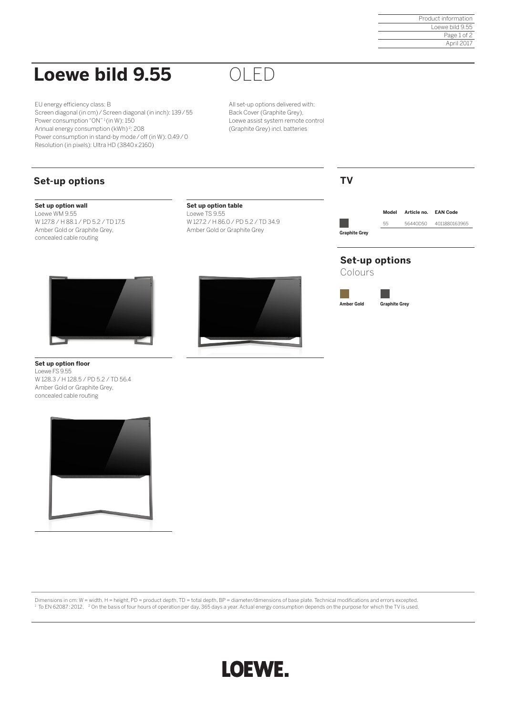Product information Loewe bild 9.55 Page 1 of 2 April 2017

# **Loewe bild 9.55**

EU energy efficiency class: B Screen diagonal (in cm) / Screen diagonal (in inch): 139 / 55 Power consumption "ON"<sup>1</sup> (in W): 150 Annual energy consumption (kWh) <sup>2</sup>: 208 Power consumption in stand-by mode / off (in W): 0.49 / 0 Resolution (in pixels): Ultra HD (3840 x 2160)

OLED

All set-up options delivered with: Back Cover (Graphite Grey), Loewe assist system remote control (Graphite Grey) incl. batteries

# **Set-up options**

### **Set up option wall**

Loewe WM 9.55 W 127.8 / H 88.1 / PD 5.2 / TD 17.5 Amber Gold or Graphite Grey, concealed cable routing

#### **Set up option table** Loewe TS 9.55 W 127.2 / H 86.0 / PD 5.2 / TD 34.9 Amber Gold or Graphite Grey



## **TV**

**Graphite Grey**

**Model Article no. EAN Code**

55 56440D50 4011880163965

## **Set-up options**

Colours

**Amber Gold Graphite Grey**

**Set up option floor** Loewe FS 9.55 W 128.3 / H 128.5 / PD 5.2 / TD 56.4 Amber Gold or Graphite Grey, concealed cable routing



Dimensions in cm: W = width, H = height, PD = product depth, TD = total depth, BP = diameter/dimensions of base plate. Technical modifications and errors excepted.  $^{\rm 1}$  To EN 62087:2012.  $^{-2}$  On the basis of four hours of operation per day, 365 days a year. Actual energy consumption depends on the purpose for which the TV is used.